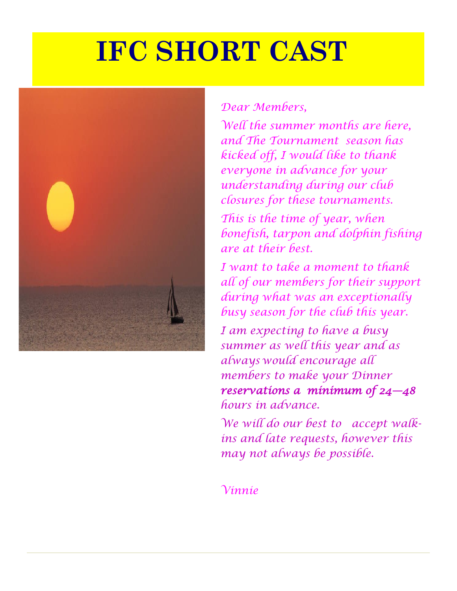# **IFC SHORT CAST**



### *Dear Members,*

*Well the summer months are here, and The Tournament season has kicked off, I would like to thank everyone in advance for your understanding during our club closures for these tournaments.*

*This is the time of year, when bonefish, tarpon and dolphin fishing are at their best.*

*I want to take a moment to thank all of our members for their support during what was an exceptionally busy season for the club this year.* 

*I am expecting to have a busy summer as well this year and as always would encourage all members to make your Dinner reservations a minimum of 24—48 hours in advance.* 

*We will do our best to accept walkins and late requests, however this may not always be possible.*

*Vinnie*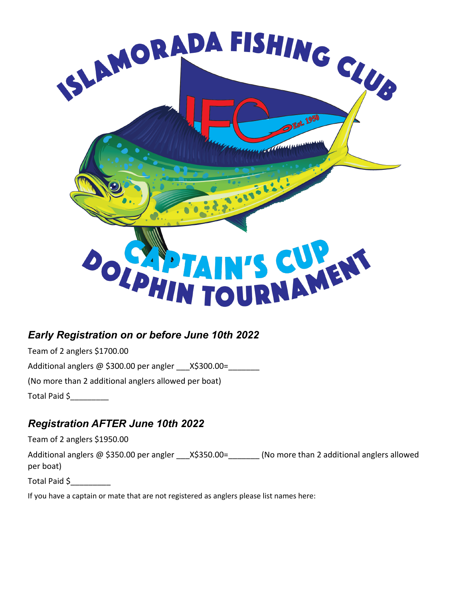

#### *Early Registration on or before June 10th 2022*

Team of 2 anglers \$1700.00 Additional anglers  $@$  \$300.00 per angler  $X$300.00=$ (No more than 2 additional anglers allowed per boat) Total Paid \$\_\_\_\_\_\_\_\_\_

#### *Registration AFTER June 10th 2022*

Team of 2 anglers \$1950.00

Additional anglers @ \$350.00 per angler \_\_\_X\$350.00=\_\_\_\_\_\_\_ (No more than 2 additional anglers allowed per boat)

Total Paid \$\_\_\_\_\_\_\_\_\_

If you have a captain or mate that are not registered as anglers please list names here: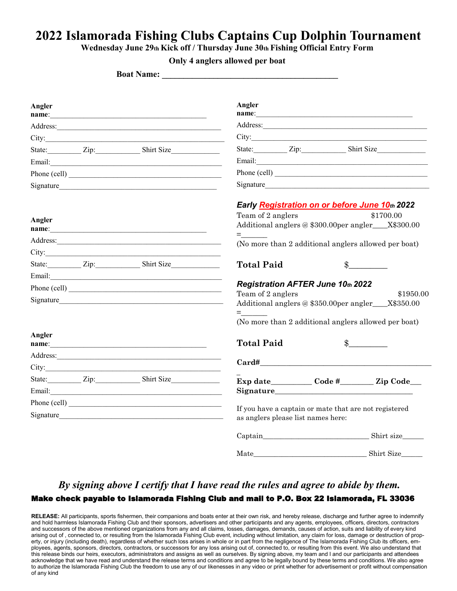## **2022 Islamorada Fishing Clubs Captains Cup Dolphin Tournament**

**Wednesday June 29th Kick off / Thursday June 30th Fishing Official Entry Form** 

**Only 4 anglers allowed per boat** 

**Boat Name:** 

| Angler                                                                                                                                                                                                                         |  | name:                                                                                                                                                                                                                                | Angler<br>name:                                                                             |                                                      |                                                                                                                                                                                                                                      |  |  |
|--------------------------------------------------------------------------------------------------------------------------------------------------------------------------------------------------------------------------------|--|--------------------------------------------------------------------------------------------------------------------------------------------------------------------------------------------------------------------------------------|---------------------------------------------------------------------------------------------|------------------------------------------------------|--------------------------------------------------------------------------------------------------------------------------------------------------------------------------------------------------------------------------------------|--|--|
|                                                                                                                                                                                                                                |  |                                                                                                                                                                                                                                      |                                                                                             |                                                      |                                                                                                                                                                                                                                      |  |  |
|                                                                                                                                                                                                                                |  |                                                                                                                                                                                                                                      |                                                                                             |                                                      |                                                                                                                                                                                                                                      |  |  |
|                                                                                                                                                                                                                                |  | State: <u>Zip:</u> Zip: Shirt Size                                                                                                                                                                                                   |                                                                                             |                                                      | State: Zip: Zip: Shirt Size                                                                                                                                                                                                          |  |  |
|                                                                                                                                                                                                                                |  |                                                                                                                                                                                                                                      |                                                                                             |                                                      | Email: <u>Alexander Adam and Alexander Adam and Alexander Adam and Alexander Adam and Alexander Adam and Alexander Adam and Alexander Adam and Alexander Adam and Alexander Adam and Alexander Adam and Alexander Adam and Alexa</u> |  |  |
|                                                                                                                                                                                                                                |  | Phone (cell)                                                                                                                                                                                                                         | Phone (cell)                                                                                |                                                      |                                                                                                                                                                                                                                      |  |  |
|                                                                                                                                                                                                                                |  | Signature                                                                                                                                                                                                                            | Signature                                                                                   |                                                      |                                                                                                                                                                                                                                      |  |  |
|                                                                                                                                                                                                                                |  |                                                                                                                                                                                                                                      | Early Registration on or before June 10th 2022                                              |                                                      |                                                                                                                                                                                                                                      |  |  |
| Angler                                                                                                                                                                                                                         |  |                                                                                                                                                                                                                                      | Team of 2 anglers                                                                           |                                                      | \$1700.00<br>Additional anglers @ \$300.00per angler___X\$300.00                                                                                                                                                                     |  |  |
|                                                                                                                                                                                                                                |  |                                                                                                                                                                                                                                      |                                                                                             | (No more than 2 additional anglers allowed per boat) |                                                                                                                                                                                                                                      |  |  |
|                                                                                                                                                                                                                                |  | City:                                                                                                                                                                                                                                |                                                                                             |                                                      |                                                                                                                                                                                                                                      |  |  |
|                                                                                                                                                                                                                                |  | State: <u>Zip:</u> Zip: Shirt Size                                                                                                                                                                                                   | <b>Total Paid</b>                                                                           |                                                      | $\mathcal{S}$                                                                                                                                                                                                                        |  |  |
|                                                                                                                                                                                                                                |  | Email: <u>Alexander and Alexander and Alexander and Alexander and Alexander and Alexander and Alexander and Alexander and Alexander and Alexander and Alexander and Alexander and Alexander and Alexander and Alexander and Alex</u> |                                                                                             |                                                      |                                                                                                                                                                                                                                      |  |  |
| Phone (cell)                                                                                                                                                                                                                   |  |                                                                                                                                                                                                                                      | Registration AFTER June 10th 2022<br>Team of 2 anglers<br>\$1950.00                         |                                                      |                                                                                                                                                                                                                                      |  |  |
| Signature                                                                                                                                                                                                                      |  |                                                                                                                                                                                                                                      | Additional anglers @ \$350.00per angler___X\$350.00                                         |                                                      |                                                                                                                                                                                                                                      |  |  |
|                                                                                                                                                                                                                                |  |                                                                                                                                                                                                                                      | $=$ $\sim$                                                                                  |                                                      |                                                                                                                                                                                                                                      |  |  |
|                                                                                                                                                                                                                                |  |                                                                                                                                                                                                                                      | (No more than 2 additional anglers allowed per boat)                                        |                                                      |                                                                                                                                                                                                                                      |  |  |
| Angler                                                                                                                                                                                                                         |  |                                                                                                                                                                                                                                      | <b>Total Paid</b>                                                                           |                                                      | $\frac{1}{2}$                                                                                                                                                                                                                        |  |  |
|                                                                                                                                                                                                                                |  |                                                                                                                                                                                                                                      |                                                                                             |                                                      |                                                                                                                                                                                                                                      |  |  |
|                                                                                                                                                                                                                                |  |                                                                                                                                                                                                                                      | Card#                                                                                       |                                                      |                                                                                                                                                                                                                                      |  |  |
|                                                                                                                                                                                                                                |  | State: <u>Zip:</u> Zip: Shirt Size                                                                                                                                                                                                   |                                                                                             |                                                      | Exp date Code # Zip Code                                                                                                                                                                                                             |  |  |
|                                                                                                                                                                                                                                |  |                                                                                                                                                                                                                                      | Signature                                                                                   |                                                      |                                                                                                                                                                                                                                      |  |  |
|                                                                                                                                                                                                                                |  | Phone (cell)                                                                                                                                                                                                                         |                                                                                             |                                                      |                                                                                                                                                                                                                                      |  |  |
| Signature experience and the state of the state of the state of the state of the state of the state of the state of the state of the state of the state of the state of the state of the state of the state of the state of th |  |                                                                                                                                                                                                                                      | If you have a captain or mate that are not registered<br>as anglers please list names here: |                                                      |                                                                                                                                                                                                                                      |  |  |
|                                                                                                                                                                                                                                |  |                                                                                                                                                                                                                                      |                                                                                             |                                                      |                                                                                                                                                                                                                                      |  |  |
|                                                                                                                                                                                                                                |  |                                                                                                                                                                                                                                      |                                                                                             |                                                      |                                                                                                                                                                                                                                      |  |  |

#### *By signing above I certify that I have read the rules and agree to abide by them.*  Make check payable to Islamorada Fishing Club and mail to P.O. Box 22 Islamorada, FL 33036

**RELEASE:** All participants, sports fishermen, their companions and boats enter at their own risk, and hereby release, discharge and further agree to indemnify and hold harmless Islamorada Fishing Club and their sponsors, advertisers and other participants and any agents, employees, officers, directors, contractors and successors of the above mentioned organizations from any and all claims, losses, damages, demands, causes of action, suits and liability of every kind arising out of , connected to, or resulting from the Islamorada Fishing Club event, including without limitation, any claim for loss, damage or destruction of property, or injury (including death), regardless of whether such loss arises in whole or in part from the negligence of The Islamorada Fishing Club its officers, employees, agents, sponsors, directors, contractors, or successors for any loss arising out of, connected to, or resulting from this event. We also understand that this release binds our heirs, executors, administrators and assigns as well as ourselves. By signing above, my team and I and our participants and attendees acknowledge that we have read and understand the release terms and conditions and agree to be legally bound by these terms and conditions. We also agree to authorize the Islamorada Fishing Club the freedom to use any of our likenesses in any video or print whether for advertisement or profit without compensation of any kind